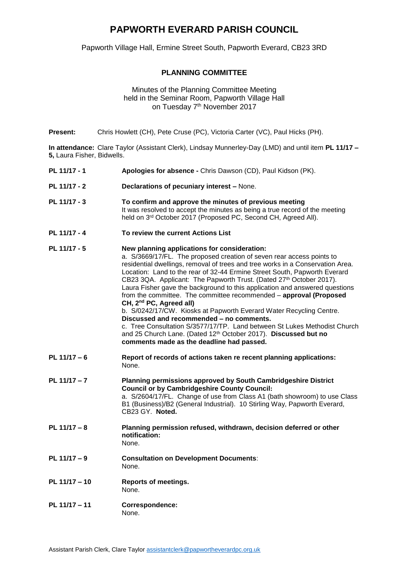## **PAPWORTH EVERARD PARISH COUNCIL**

Papworth Village Hall, Ermine Street South, Papworth Everard, CB23 3RD

## **PLANNING COMMITTEE**

## Minutes of the Planning Committee Meeting held in the Seminar Room, Papworth Village Hall on Tuesday 7<sup>th</sup> November 2017

**Present:** Chris Howlett (CH), Pete Cruse (PC), Victoria Carter (VC), Paul Hicks (PH).

**In attendance:** Clare Taylor (Assistant Clerk), Lindsay Munnerley-Day (LMD) and until item **PL 11/17 – 5,** Laura Fisher, Bidwells.

| <b>J,</b> Laura Fisher, Diuwells. |                                                                                                                                                                                                                                                                                                                                                                                                                                                                                                                                                                                                                                                                                                                                                                                                                                                                         |
|-----------------------------------|-------------------------------------------------------------------------------------------------------------------------------------------------------------------------------------------------------------------------------------------------------------------------------------------------------------------------------------------------------------------------------------------------------------------------------------------------------------------------------------------------------------------------------------------------------------------------------------------------------------------------------------------------------------------------------------------------------------------------------------------------------------------------------------------------------------------------------------------------------------------------|
| PL 11/17 - 1                      | Apologies for absence - Chris Dawson (CD), Paul Kidson (PK).                                                                                                                                                                                                                                                                                                                                                                                                                                                                                                                                                                                                                                                                                                                                                                                                            |
| PL 11/17 - 2                      | Declarations of pecuniary interest - None.                                                                                                                                                                                                                                                                                                                                                                                                                                                                                                                                                                                                                                                                                                                                                                                                                              |
| PL 11/17 - 3                      | To confirm and approve the minutes of previous meeting<br>It was resolved to accept the minutes as being a true record of the meeting<br>held on 3rd October 2017 (Proposed PC, Second CH, Agreed All).                                                                                                                                                                                                                                                                                                                                                                                                                                                                                                                                                                                                                                                                 |
| PL 11/17 - 4                      | To review the current Actions List                                                                                                                                                                                                                                                                                                                                                                                                                                                                                                                                                                                                                                                                                                                                                                                                                                      |
| PL 11/17 - 5                      | New planning applications for consideration:<br>a. S/3669/17/FL. The proposed creation of seven rear access points to<br>residential dwellings, removal of trees and tree works in a Conservation Area.<br>Location: Land to the rear of 32-44 Ermine Street South, Papworth Everard<br>CB23 3QA. Applicant: The Papworth Trust. (Dated 27th October 2017).<br>Laura Fisher gave the background to this application and answered questions<br>from the committee. The committee recommended - approval (Proposed<br>CH, 2 <sup>nd</sup> PC, Agreed all)<br>b. S/0242/17/CW. Kiosks at Papworth Everard Water Recycling Centre.<br>Discussed and recommended - no comments.<br>c. Tree Consultation S/3577/17/TP. Land between St Lukes Methodist Church<br>and 25 Church Lane. (Dated 12th October 2017). Discussed but no<br>comments made as the deadline had passed. |
| PL $11/17 - 6$                    | Report of records of actions taken re recent planning applications:<br>None.                                                                                                                                                                                                                                                                                                                                                                                                                                                                                                                                                                                                                                                                                                                                                                                            |
| PL 11/17 - 7                      | Planning permissions approved by South Cambridgeshire District<br><b>Council or by Cambridgeshire County Council:</b><br>a. S/2604/17/FL. Change of use from Class A1 (bath showroom) to use Class<br>B1 (Business)/B2 (General Industrial). 10 Stirling Way, Papworth Everard,<br>CB23 GY. Noted.                                                                                                                                                                                                                                                                                                                                                                                                                                                                                                                                                                      |
| PL $11/17 - 8$                    | Planning permission refused, withdrawn, decision deferred or other<br>notification:<br>None.                                                                                                                                                                                                                                                                                                                                                                                                                                                                                                                                                                                                                                                                                                                                                                            |
| PL $11/17 - 9$                    | <b>Consultation on Development Documents:</b><br>None.                                                                                                                                                                                                                                                                                                                                                                                                                                                                                                                                                                                                                                                                                                                                                                                                                  |
| PL 11/17 - 10                     | <b>Reports of meetings.</b><br>None.                                                                                                                                                                                                                                                                                                                                                                                                                                                                                                                                                                                                                                                                                                                                                                                                                                    |

**PL 11/17 – 11 Correspondence:** None.